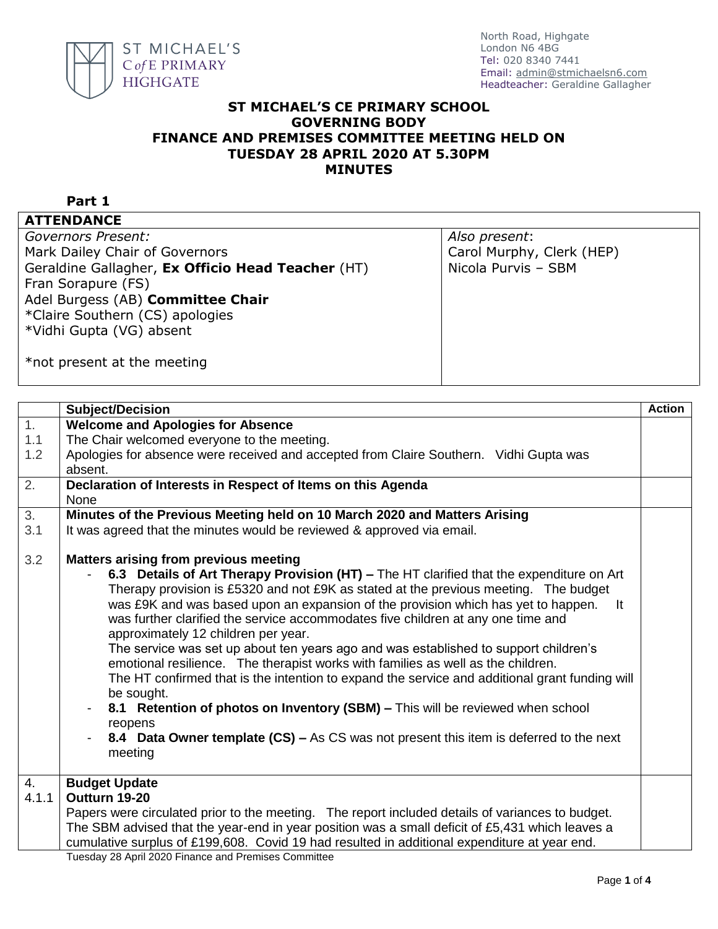

## **ST MICHAEL'S CE PRIMARY SCHOOL GOVERNING BODY FINANCE AND PREMISES COMMITTEE MEETING HELD ON TUESDAY 28 APRIL 2020 AT 5.30PM MINUTES**

## **Part 1**

## **ATTENDANCE**

*Governors Present:* Mark Dailey Chair of Governors Geraldine Gallagher, **Ex Officio Head Teacher** (HT) Fran Sorapure (FS) Adel Burgess (AB) **Committee Chair** \*Claire Southern (CS) apologies \*Vidhi Gupta (VG) absent

*Also present*: Carol Murphy, Clerk (HEP) Nicola Purvis – SBM

\*not present at the meeting

|                  | Subject/Decision                                                                                                                                                                                                                                                                                                                                                                                                                                                                                                                                                                                                                                                                                                                                                                                                                                                                                                                                     | <b>Action</b> |
|------------------|------------------------------------------------------------------------------------------------------------------------------------------------------------------------------------------------------------------------------------------------------------------------------------------------------------------------------------------------------------------------------------------------------------------------------------------------------------------------------------------------------------------------------------------------------------------------------------------------------------------------------------------------------------------------------------------------------------------------------------------------------------------------------------------------------------------------------------------------------------------------------------------------------------------------------------------------------|---------------|
| $\overline{1}$ . | <b>Welcome and Apologies for Absence</b>                                                                                                                                                                                                                                                                                                                                                                                                                                                                                                                                                                                                                                                                                                                                                                                                                                                                                                             |               |
| 1.1              | The Chair welcomed everyone to the meeting.                                                                                                                                                                                                                                                                                                                                                                                                                                                                                                                                                                                                                                                                                                                                                                                                                                                                                                          |               |
| 1.2              | Apologies for absence were received and accepted from Claire Southern. Vidhi Gupta was                                                                                                                                                                                                                                                                                                                                                                                                                                                                                                                                                                                                                                                                                                                                                                                                                                                               |               |
|                  | absent.                                                                                                                                                                                                                                                                                                                                                                                                                                                                                                                                                                                                                                                                                                                                                                                                                                                                                                                                              |               |
| 2.               | Declaration of Interests in Respect of Items on this Agenda                                                                                                                                                                                                                                                                                                                                                                                                                                                                                                                                                                                                                                                                                                                                                                                                                                                                                          |               |
|                  | <b>None</b>                                                                                                                                                                                                                                                                                                                                                                                                                                                                                                                                                                                                                                                                                                                                                                                                                                                                                                                                          |               |
| $\overline{3}$ . | Minutes of the Previous Meeting held on 10 March 2020 and Matters Arising                                                                                                                                                                                                                                                                                                                                                                                                                                                                                                                                                                                                                                                                                                                                                                                                                                                                            |               |
| 3.1              | It was agreed that the minutes would be reviewed & approved via email.                                                                                                                                                                                                                                                                                                                                                                                                                                                                                                                                                                                                                                                                                                                                                                                                                                                                               |               |
| 3.2              | <b>Matters arising from previous meeting</b><br>6.3 Details of Art Therapy Provision (HT) - The HT clarified that the expenditure on Art<br>Therapy provision is £5320 and not £9K as stated at the previous meeting. The budget<br>was £9K and was based upon an expansion of the provision which has yet to happen.<br>It<br>was further clarified the service accommodates five children at any one time and<br>approximately 12 children per year.<br>The service was set up about ten years ago and was established to support children's<br>emotional resilience. The therapist works with families as well as the children.<br>The HT confirmed that is the intention to expand the service and additional grant funding will<br>be sought.<br>8.1 Retention of photos on Inventory (SBM) - This will be reviewed when school<br>reopens<br>8.4 Data Owner template (CS) – As CS was not present this item is deferred to the next<br>meeting |               |
| 4.               | <b>Budget Update</b>                                                                                                                                                                                                                                                                                                                                                                                                                                                                                                                                                                                                                                                                                                                                                                                                                                                                                                                                 |               |
| 4.1.1            | Outturn 19-20                                                                                                                                                                                                                                                                                                                                                                                                                                                                                                                                                                                                                                                                                                                                                                                                                                                                                                                                        |               |
|                  | Papers were circulated prior to the meeting. The report included details of variances to budget.                                                                                                                                                                                                                                                                                                                                                                                                                                                                                                                                                                                                                                                                                                                                                                                                                                                     |               |
|                  | The SBM advised that the year-end in year position was a small deficit of £5,431 which leaves a                                                                                                                                                                                                                                                                                                                                                                                                                                                                                                                                                                                                                                                                                                                                                                                                                                                      |               |
|                  | cumulative surplus of £199,608. Covid 19 had resulted in additional expenditure at year end.                                                                                                                                                                                                                                                                                                                                                                                                                                                                                                                                                                                                                                                                                                                                                                                                                                                         |               |
|                  | Tuesday 28 April 2020 Finance and Premises Committee                                                                                                                                                                                                                                                                                                                                                                                                                                                                                                                                                                                                                                                                                                                                                                                                                                                                                                 |               |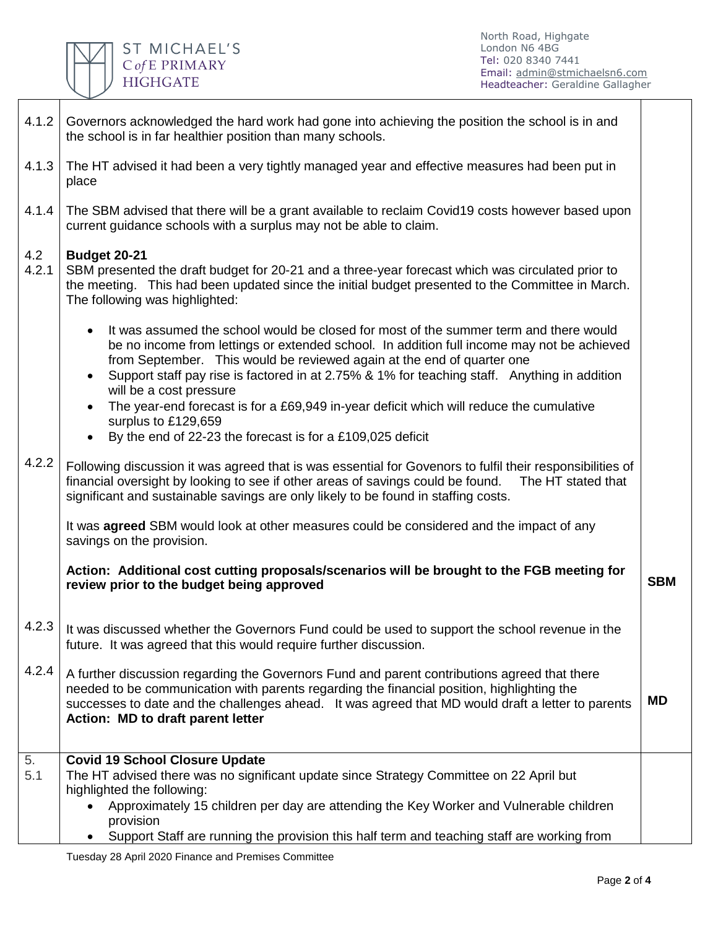

North Road, Highgate London N6 4BG Tel: 020 8340 7441 Email: [admin@stmichaelsn6.com](mailto:admin@stmichaelsn6.com) Headteacher: Geraldine Gallagher

| 4.1.2        | Governors acknowledged the hard work had gone into achieving the position the school is in and<br>the school is in far healthier position than many schools.                                                                                                                                                                                                                                                                                                                                                                                                                                                    |            |  |  |
|--------------|-----------------------------------------------------------------------------------------------------------------------------------------------------------------------------------------------------------------------------------------------------------------------------------------------------------------------------------------------------------------------------------------------------------------------------------------------------------------------------------------------------------------------------------------------------------------------------------------------------------------|------------|--|--|
| 4.1.3        | The HT advised it had been a very tightly managed year and effective measures had been put in<br>place                                                                                                                                                                                                                                                                                                                                                                                                                                                                                                          |            |  |  |
| 4.1.4        | The SBM advised that there will be a grant available to reclaim Covid19 costs however based upon<br>current guidance schools with a surplus may not be able to claim.                                                                                                                                                                                                                                                                                                                                                                                                                                           |            |  |  |
| 4.2<br>4.2.1 | <b>Budget 20-21</b><br>SBM presented the draft budget for 20-21 and a three-year forecast which was circulated prior to<br>the meeting. This had been updated since the initial budget presented to the Committee in March.<br>The following was highlighted:                                                                                                                                                                                                                                                                                                                                                   |            |  |  |
|              | It was assumed the school would be closed for most of the summer term and there would<br>$\bullet$<br>be no income from lettings or extended school. In addition full income may not be achieved<br>from September. This would be reviewed again at the end of quarter one<br>Support staff pay rise is factored in at 2.75% & 1% for teaching staff. Anything in addition<br>$\bullet$<br>will be a cost pressure<br>The year-end forecast is for a £69,949 in-year deficit which will reduce the cumulative<br>$\bullet$<br>surplus to £129,659<br>By the end of 22-23 the forecast is for a £109,025 deficit |            |  |  |
| 4.2.2        | $\bullet$<br>Following discussion it was agreed that is was essential for Govenors to fulfil their responsibilities of<br>financial oversight by looking to see if other areas of savings could be found.<br>The HT stated that<br>significant and sustainable savings are only likely to be found in staffing costs.                                                                                                                                                                                                                                                                                           |            |  |  |
|              | It was <b>agreed</b> SBM would look at other measures could be considered and the impact of any<br>savings on the provision.                                                                                                                                                                                                                                                                                                                                                                                                                                                                                    |            |  |  |
|              | Action: Additional cost cutting proposals/scenarios will be brought to the FGB meeting for<br>review prior to the budget being approved                                                                                                                                                                                                                                                                                                                                                                                                                                                                         | <b>SBM</b> |  |  |
| 4.2.3        | It was discussed whether the Governors Fund could be used to support the school revenue in the<br>future. It was agreed that this would require further discussion.                                                                                                                                                                                                                                                                                                                                                                                                                                             |            |  |  |
| 4.2.4        | A further discussion regarding the Governors Fund and parent contributions agreed that there<br>needed to be communication with parents regarding the financial position, highlighting the<br>successes to date and the challenges ahead. It was agreed that MD would draft a letter to parents<br>Action: MD to draft parent letter                                                                                                                                                                                                                                                                            | <b>MD</b>  |  |  |
| 5.<br>5.1    | <b>Covid 19 School Closure Update</b><br>The HT advised there was no significant update since Strategy Committee on 22 April but<br>highlighted the following:<br>Approximately 15 children per day are attending the Key Worker and Vulnerable children<br>provision<br>Support Staff are running the provision this half term and teaching staff are working from                                                                                                                                                                                                                                             |            |  |  |

Tuesday 28 April 2020 Finance and Premises Committee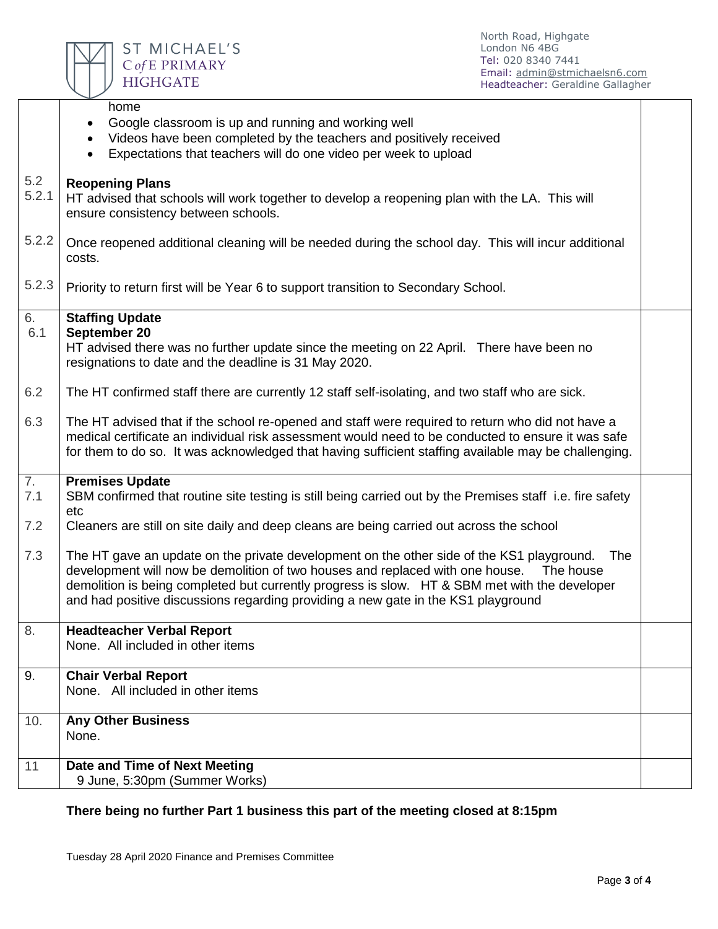

North Road, Highgate London N6 4BG Tel: 020 8340 7441 Email: [admin@stmichaelsn6.com](mailto:admin@stmichaelsn6.com) Headteacher: Geraldine Gallagher

|              | home<br>Google classroom is up and running and working well<br>$\bullet$<br>Videos have been completed by the teachers and positively received<br>$\bullet$<br>Expectations that teachers will do one video per week to upload<br>$\bullet$                                                                                                                                          |  |
|--------------|--------------------------------------------------------------------------------------------------------------------------------------------------------------------------------------------------------------------------------------------------------------------------------------------------------------------------------------------------------------------------------------|--|
|              |                                                                                                                                                                                                                                                                                                                                                                                      |  |
| 5.2<br>5.2.1 | <b>Reopening Plans</b><br>HT advised that schools will work together to develop a reopening plan with the LA. This will<br>ensure consistency between schools.                                                                                                                                                                                                                       |  |
| 5.2.2        | Once reopened additional cleaning will be needed during the school day. This will incur additional<br>costs.                                                                                                                                                                                                                                                                         |  |
| 5.2.3        | Priority to return first will be Year 6 to support transition to Secondary School.                                                                                                                                                                                                                                                                                                   |  |
| 6.           | <b>Staffing Update</b>                                                                                                                                                                                                                                                                                                                                                               |  |
| 6.1          | September 20<br>HT advised there was no further update since the meeting on 22 April. There have been no<br>resignations to date and the deadline is 31 May 2020.                                                                                                                                                                                                                    |  |
| 6.2          | The HT confirmed staff there are currently 12 staff self-isolating, and two staff who are sick.                                                                                                                                                                                                                                                                                      |  |
| 6.3          | The HT advised that if the school re-opened and staff were required to return who did not have a<br>medical certificate an individual risk assessment would need to be conducted to ensure it was safe<br>for them to do so. It was acknowledged that having sufficient staffing available may be challenging.                                                                       |  |
| 7.           | <b>Premises Update</b>                                                                                                                                                                                                                                                                                                                                                               |  |
| 7.1          | SBM confirmed that routine site testing is still being carried out by the Premises staff i.e. fire safety<br>etc                                                                                                                                                                                                                                                                     |  |
| 7.2          | Cleaners are still on site daily and deep cleans are being carried out across the school                                                                                                                                                                                                                                                                                             |  |
| 7.3          | The HT gave an update on the private development on the other side of the KS1 playground.<br>The<br>development will now be demolition of two houses and replaced with one house.<br>The house<br>demolition is being completed but currently progress is slow. HT & SBM met with the developer<br>and had positive discussions regarding providing a new gate in the KS1 playground |  |
| 8.           | <b>Headteacher Verbal Report</b><br>None. All included in other items                                                                                                                                                                                                                                                                                                                |  |
| 9.           | <b>Chair Verbal Report</b><br>None. All included in other items                                                                                                                                                                                                                                                                                                                      |  |
| 10.          | <b>Any Other Business</b><br>None.                                                                                                                                                                                                                                                                                                                                                   |  |
| 11           | Date and Time of Next Meeting<br>9 June, 5:30pm (Summer Works)                                                                                                                                                                                                                                                                                                                       |  |

**There being no further Part 1 business this part of the meeting closed at 8:15pm**